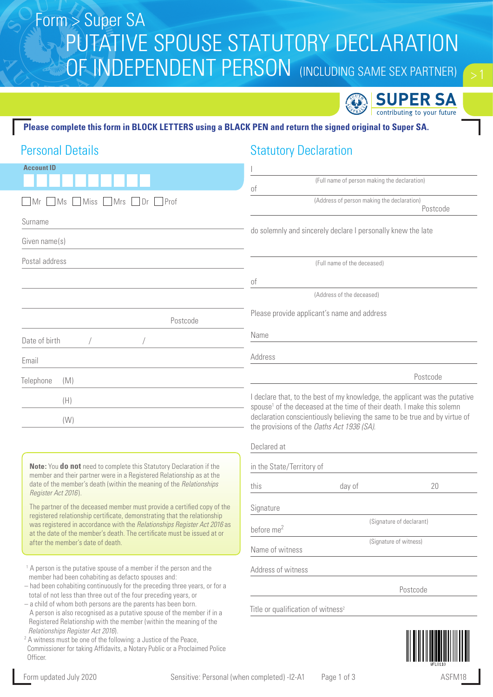# PUTATIVE SPOUSE STATUTORY DECLARATION OF INDEPENDENT PERSON (INCLUDING SAME SEX PARTNER) Form > Super SA



#### **Please complete this form in BLOCK LETTERS using a BLACK PEN and return the signed original to Super SA.**

### Personal Details

### Statutory Declaration

| <b>Account ID</b>                                                                                                                                                                                                               |                                                                                                                                                                   |          |  |  |  |
|---------------------------------------------------------------------------------------------------------------------------------------------------------------------------------------------------------------------------------|-------------------------------------------------------------------------------------------------------------------------------------------------------------------|----------|--|--|--|
|                                                                                                                                                                                                                                 | (Full name of person making the declaration)<br>of                                                                                                                |          |  |  |  |
| Miss Mrs Dr<br>$\Box$ Prof<br>MS<br>Mr                                                                                                                                                                                          | (Address of person making the declaration)                                                                                                                        | Postcode |  |  |  |
| Surname                                                                                                                                                                                                                         |                                                                                                                                                                   |          |  |  |  |
| Given name(s)                                                                                                                                                                                                                   | do solemnly and sincerely declare I personally knew the late                                                                                                      |          |  |  |  |
| Postal address                                                                                                                                                                                                                  | (Full name of the deceased)                                                                                                                                       |          |  |  |  |
|                                                                                                                                                                                                                                 | of                                                                                                                                                                |          |  |  |  |
|                                                                                                                                                                                                                                 | (Address of the deceased)                                                                                                                                         |          |  |  |  |
| Postcode                                                                                                                                                                                                                        | Please provide applicant's name and address                                                                                                                       |          |  |  |  |
| Date of birth                                                                                                                                                                                                                   | Name                                                                                                                                                              |          |  |  |  |
| Email                                                                                                                                                                                                                           | Address                                                                                                                                                           |          |  |  |  |
| Telephone<br>(M)                                                                                                                                                                                                                |                                                                                                                                                                   | Postcode |  |  |  |
| (H)                                                                                                                                                                                                                             | I declare that, to the best of my knowledge, the applicant was the putative<br>spouse <sup>1</sup> of the deceased at the time of their death. I make this solemn |          |  |  |  |
| (W)                                                                                                                                                                                                                             | declaration conscientiously believing the same to be true and by virtue of<br>the provisions of the Oaths Act 1936 (SA).                                          |          |  |  |  |
|                                                                                                                                                                                                                                 | Declared at                                                                                                                                                       |          |  |  |  |
| Note: You do not need to complete this Statutory Declaration if the                                                                                                                                                             | in the State/Territory of                                                                                                                                         |          |  |  |  |
| member and their partner were in a Registered Relationship as at the<br>date of the member's death (within the meaning of the Relationships<br>Register Act 2016).                                                              | day of<br>this                                                                                                                                                    | 20       |  |  |  |
| The partner of the deceased member must provide a certified copy of the                                                                                                                                                         | Signature                                                                                                                                                         |          |  |  |  |
| registered relationship certificate, demonstrating that the relationship<br>was registered in accordance with the Relationships Register Act 2016 as<br>at the date of the member's death. The certificate must be issued at or | (Signature of declarant)<br>before me <sup>2</sup>                                                                                                                |          |  |  |  |
| after the member's date of death.                                                                                                                                                                                               | (Signature of witness)<br>Name of witness                                                                                                                         |          |  |  |  |

- <sup>1</sup> A person is the putative spouse of a member if the person and the member had been cohabiting as defacto spouses and:
- had been cohabiting continuously for the preceding three years, or for a total of not less than three out of the four preceding years, or
- a child of whom both persons are the parents has been born. A person is also recognised as a putative spouse of the member if in a
- Registered Relationship with the member (within the meaning of the *Relationships Register Act 2016*). <sup>2</sup> A witness must be one of the following: a Justice of the Peace,
- Commissioner for taking Affidavits, a Notary Public or a Proclaimed Police Officer.

Address of witness

Title or qualification of witness<sup>2</sup>

Postcode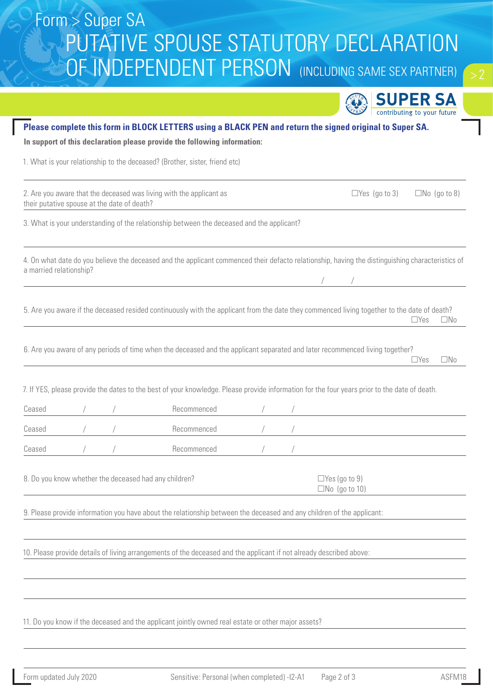## PUTATIVE SPOUSE STATUTORY DECLARATION OF INDEPENDENT PERSON (INCLUDING SAME SEX PARTNER) Form > Super SA

**BUPER SA** 

|                                                                                                                    |  |  | Please complete this form in BLOCK LETTERS using a BLACK PEN and return the signed original to Super SA.                                         |  |  | TREA                                         | contributing to your future |
|--------------------------------------------------------------------------------------------------------------------|--|--|--------------------------------------------------------------------------------------------------------------------------------------------------|--|--|----------------------------------------------|-----------------------------|
|                                                                                                                    |  |  | In support of this declaration please provide the following information:                                                                         |  |  |                                              |                             |
|                                                                                                                    |  |  | 1. What is your relationship to the deceased? (Brother, sister, friend etc)                                                                      |  |  |                                              |                             |
| 2. Are you aware that the deceased was living with the applicant as<br>their putative spouse at the date of death? |  |  |                                                                                                                                                  |  |  | $\Box$ Yes (go to 3)                         | $\Box$ No (go to 8)         |
|                                                                                                                    |  |  | 3. What is your understanding of the relationship between the deceased and the applicant?                                                        |  |  |                                              |                             |
| a married relationship?                                                                                            |  |  | 4. On what date do you believe the deceased and the applicant commenced their defacto relationship, having the distinguishing characteristics of |  |  |                                              |                             |
|                                                                                                                    |  |  | 5. Are you aware if the deceased resided continuously with the applicant from the date they commenced living together to the date of death?      |  |  |                                              | $\Box$ Yes<br>$\square$ No  |
|                                                                                                                    |  |  | 6. Are you aware of any periods of time when the deceased and the applicant separated and later recommenced living together?                     |  |  |                                              | $\square$ No<br>$\Box$ Yes  |
|                                                                                                                    |  |  | 7. If YES, please provide the dates to the best of your knowledge. Please provide information for the four years prior to the date of death.     |  |  |                                              |                             |
| Ceased                                                                                                             |  |  | Recommenced                                                                                                                                      |  |  |                                              |                             |
| Ceased                                                                                                             |  |  | Recommenced                                                                                                                                      |  |  |                                              |                             |
| Ceased                                                                                                             |  |  | Recommenced                                                                                                                                      |  |  |                                              |                             |
|                                                                                                                    |  |  | 8. Do you know whether the deceased had any children?                                                                                            |  |  | $\Box$ Yes (go to 9)<br>$\Box$ No (go to 10) |                             |
|                                                                                                                    |  |  | 9. Please provide information you have about the relationship between the deceased and any children of the applicant:                            |  |  |                                              |                             |
|                                                                                                                    |  |  | 10. Please provide details of living arrangements of the deceased and the applicant if not already described above:                              |  |  |                                              |                             |
|                                                                                                                    |  |  |                                                                                                                                                  |  |  |                                              |                             |
|                                                                                                                    |  |  | 11. Do you know if the deceased and the applicant jointly owned real estate or other major assets?                                               |  |  |                                              |                             |